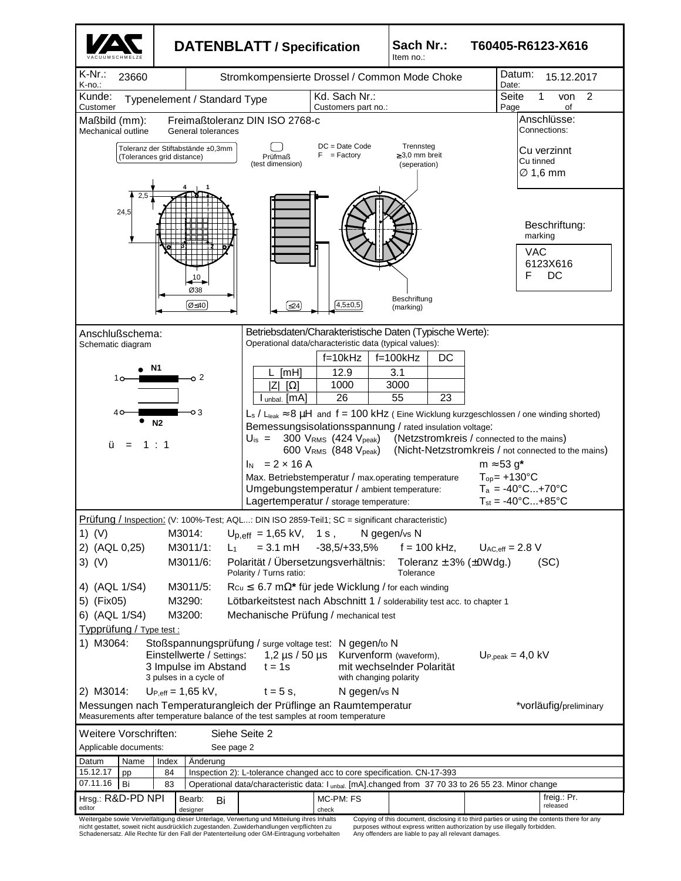

nicht gestattet, soweit nicht ausdrücklich zugestanden. Zuwiderhandlungen verpflichten zu Schadenersatz. Alle Rechte für den Fall der Patenterteilung oder GM-Eintragung vorbehalten purposes without express written authorization by use illegally forbidden. Any offenders are liable to pay all relevant damages.